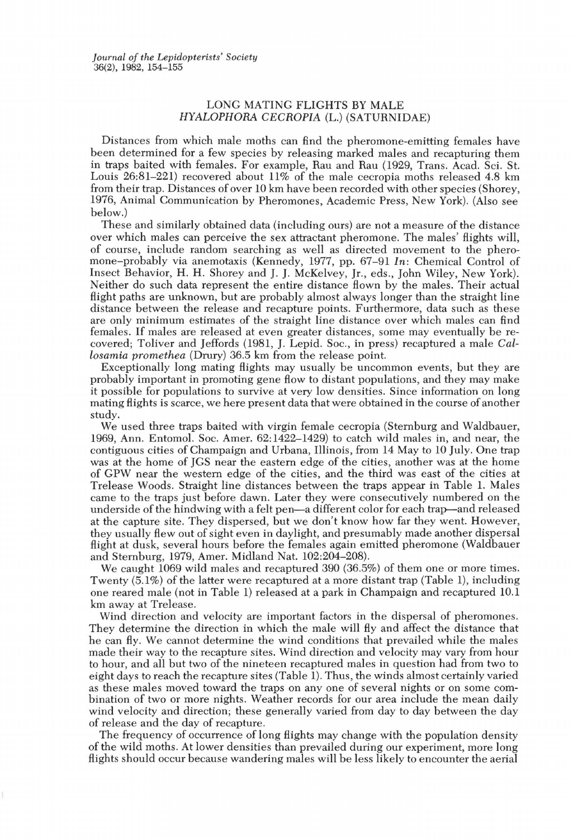*Journal of the Lepidopterists' Society*  36(2), 1982, 154-155

## LONG MATING FLIGHTS BY MALE HYALOPHORA CECROPIA (L.) (SATURNIDAE)

Distances from which male moths can find the pheromone-emitting females have been determined for a few species by releasing marked males and recapturing them in traps baited with females. For example, Rau and Rau (1929, Trans. Acad. Sci. St. Louis  $26:81-221$  recovered about  $11\%$  of the male cecropia moths released 4.8 km from their trap. Distances of over 10 km have been recorded with other species (Shorey, 1976, Animal Communication by Pheromones, Academic Press, New York). (Also see below.)

These and similarly obtained data (including ours) are not a measure of the distance over which males can perceive the sex attractant pheromone. The males' flights will, of course, include random searching as well as directed movement to the pheromone-probably via anemotaxis (Kennedy, 1977, pp. 67-91 *In:* Chemical Control of Insect Behavior, H. H. Shorey and J. J. McKelvey, Jr., eds., John Wiley, New York). Neither do such data represent the entire distance flown by the males. Their actual flight paths are unknown, but are probably almost always longer than the straight line distance between the release and recapture points. Furthermore, data such as these are only minimum estimates of the straight line distance over which males can find females. If males are released at even greater distances, some may eventually be recovered; Toliver and Jeffords (1981, J. Lepid. Soc., in press) recaptured a male *Callosamia promethea* (Drury) 36.5 km from the release point.

Exceptionally long mating flights may usually be uncommon events, but they are probably important in promoting gene flow to distant populations, and they may make it possible for populations to survive at very low densities. Since information on long mating flights is scarce, we here present data that were obtained in the course of another study.

We used three traps baited with virgin female cecropia (Sternburg and Waldbauer, 1969, Ann. Entomol. Soc. Amer. 62: 1422-1429) to catch wild males in, and near, the contiguous cities of Champaign and Urbana, Illinois, from 14 May to 10 July. One trap was at the home of JGS near the eastern edge of the cities, another was at the home of GPW near the western edge of the cities, and the third was east of the cities at Trelease Woods. Straight line distances between the traps appear in Table 1. Males came to the traps just before dawn. Later they were consecutively numbered on the underside of the hindwing with a felt pen-a different color for each trap-and released at the capture site. They dispersed, but we don't know how far they went. However, they usually flew out of sight even in daylight, and presumably made another dispersal flight at dusk, several hours before the females again emitted pheromone (Waldbauer and Sternburg, 1979, Amer. Midland Nat. 102:204-208).

We caught 1069 wild males and recaptured 390 (36.5%) of them one or more times. Twenty (5.1%) of the latter were recaptured at a more distant trap (Table 1), including one reared male (not in Table 1) released at a park in Champaign and recaptured 10.1 km away at Trelease.

Wind direction and velocity are important factors in the dispersal of pheromones. They determine the direction in which the male will fly and affect the distance that he can fly. We cannot determine the wind conditions that prevailed while the males made their way to the recapture sites. Wind direction and velocity may vary from hour to hour, and all but two of the nineteen recaptured males in question had from two to eight days to reach the recapture sites (Table 1). Thus, the winds almost certainly varied as these males moved toward the traps on anyone of several nights or on some combination of two or more nights. Weather records for our area include the mean daily wind velocity and direction; these generally varied from day to day between the day of release and the day of recapture.

The frequency of occurrence of long flights may change with the population density of the wild moths. At lower densities than prevailed during our experiment, more long flights should occur because wandering males will be less likely to encounter the aerial